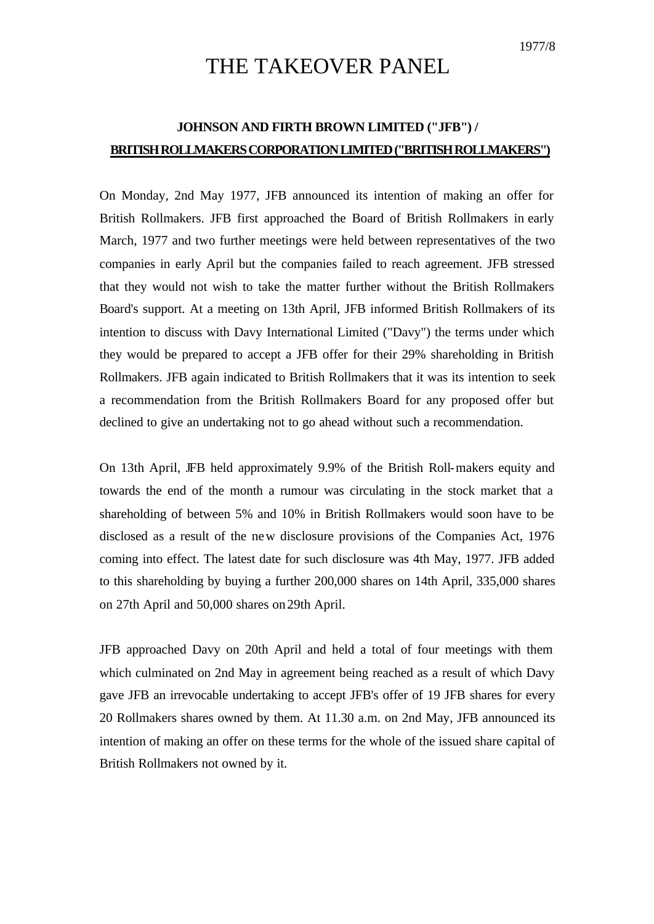## THE TAKEOVER PANEL

## **JOHNSON AND FIRTH BROWN LIMITED ("JFB") / BRITISH ROLLMAKERS CORPORATION LIMITED ("BRITISH ROLLMAKERS")**

On Monday, 2nd May 1977, JFB announced its intention of making an offer for British Rollmakers. JFB first approached the Board of British Rollmakers in early March, 1977 and two further meetings were held between representatives of the two companies in early April but the companies failed to reach agreement. JFB stressed that they would not wish to take the matter further without the British Rollmakers Board's support. At a meeting on 13th April, JFB informed British Rollmakers of its intention to discuss with Davy International Limited ("Davy") the terms under which they would be prepared to accept a JFB offer for their 29% shareholding in British Rollmakers. JFB again indicated to British Rollmakers that it was its intention to seek a recommendation from the British Rollmakers Board for any proposed offer but declined to give an undertaking not to go ahead without such a recommendation.

On 13th April, JFB held approximately 9.9% of the British Roll-makers equity and towards the end of the month a rumour was circulating in the stock market that a shareholding of between 5% and 10% in British Rollmakers would soon have to be disclosed as a result of the new disclosure provisions of the Companies Act, 1976 coming into effect. The latest date for such disclosure was 4th May, 1977. JFB added to this shareholding by buying a further 200,000 shares on 14th April, 335,000 shares on 27th April and 50,000 shares on 29th April.

JFB approached Davy on 20th April and held a total of four meetings with them which culminated on 2nd May in agreement being reached as a result of which Davy gave JFB an irrevocable undertaking to accept JFB's offer of 19 JFB shares for every 20 Rollmakers shares owned by them. At 11.30 a.m. on 2nd May, JFB announced its intention of making an offer on these terms for the whole of the issued share capital of British Rollmakers not owned by it.